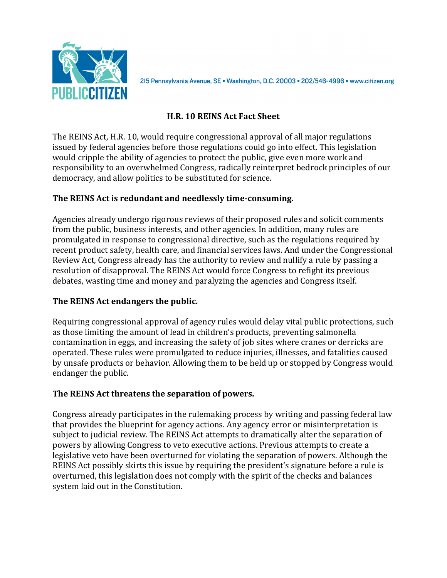

215 Pennsylvania Avenue, SE · Washington, D.C. 20003 · 202/546-4996 · www.citizen.org

# H.R. 10 REINS Act Fact Sheet

The REINS Act, H.R. 10, would require congressional approval of all major regulations issued by federal agencies before those regulations could go into effect. This legislation would cripple the ability of agencies to protect the public, give even more work and responsibility to an overwhelmed Congress, radically reinterpret bedrock principles of our democracy, and allow politics to be substituted for science.

## The REINS Act is redundant and needlessly time-consuming.

Agencies already undergo rigorous reviews of their proposed rules and solicit comments from the public, business interests, and other agencies. In addition, many rules are promulgated in response to congressional directive, such as the regulations required by recent product safety, health care, and financial services laws. And under the Congressional Review Act, Congress already has the authority to review and nullify a rule by passing a resolution of disapproval. The REINS Act would force Congress to refight its previous debates, wasting time and money and paralyzing the agencies and Congress itself.

### The REINS Act endangers the public.

Requiring congressional approval of agency rules would delay vital public protections, such as those limiting the amount of lead in children's products, preventing salmonella contamination in eggs, and increasing the safety of job sites where cranes or derricks are operated. These rules were promulgated to reduce injuries, illnesses, and fatalities caused by unsafe products or behavior. Allowing them to be held up or stopped by Congress would endanger the public.

### The REINS Act threatens the separation of powers.

Congress already participates in the rulemaking process by writing and passing federal law that provides the blueprint for agency actions. Any agency error or misinterpretation is subject to judicial review. The REINS Act attempts to dramatically alter the separation of powers by allowing Congress to veto executive actions. Previous attempts to create a legislative veto have been overturned for violating the separation of powers. Although the REINS Act possibly skirts this issue by requiring the president's signature before a rule is overturned, this legislation does not comply with the spirit of the checks and balances system laid out in the Constitution.